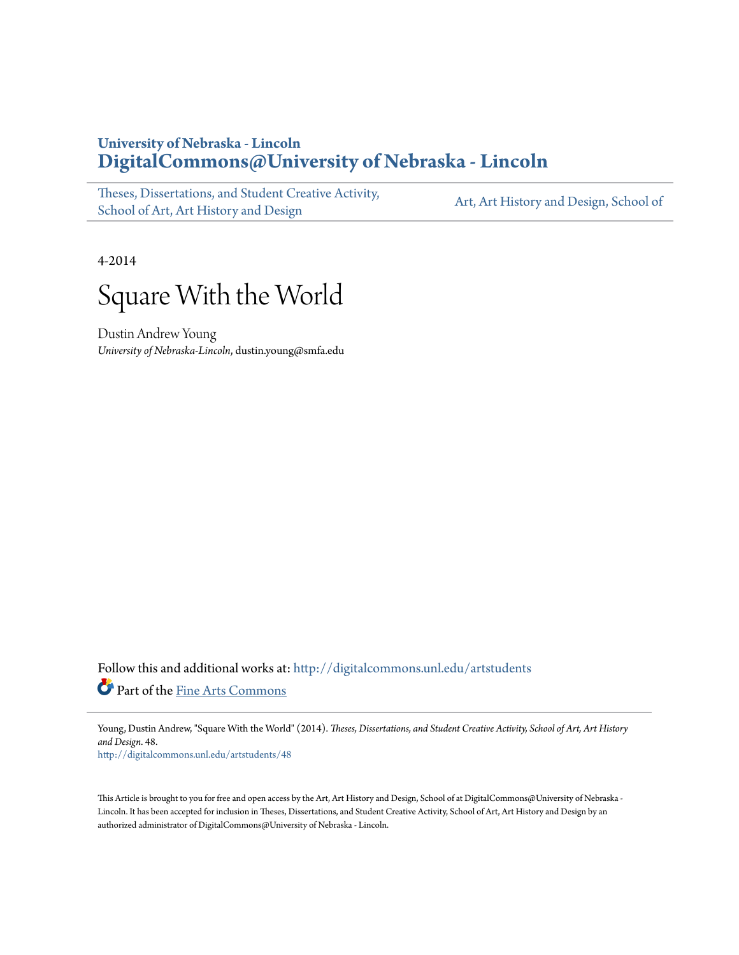# **University of Nebraska - Lincoln [DigitalCommons@University of Nebraska - Lincoln](http://digitalcommons.unl.edu?utm_source=digitalcommons.unl.edu%2Fartstudents%2F48&utm_medium=PDF&utm_campaign=PDFCoverPages)**

[Theses, Dissertations, and Student Creative Activity,](http://digitalcommons.unl.edu/artstudents?utm_source=digitalcommons.unl.edu%2Fartstudents%2F48&utm_medium=PDF&utm_campaign=PDFCoverPages) [School of Art, Art History and Design](http://digitalcommons.unl.edu/artstudents?utm_source=digitalcommons.unl.edu%2Fartstudents%2F48&utm_medium=PDF&utm_campaign=PDFCoverPages)

[Art, Art History and Design, School of](http://digitalcommons.unl.edu/art?utm_source=digitalcommons.unl.edu%2Fartstudents%2F48&utm_medium=PDF&utm_campaign=PDFCoverPages)

4-2014



Dustin Andrew Young *University of Nebraska-Lincoln*, dustin.young@smfa.edu

Follow this and additional works at: [http://digitalcommons.unl.edu/artstudents](http://digitalcommons.unl.edu/artstudents?utm_source=digitalcommons.unl.edu%2Fartstudents%2F48&utm_medium=PDF&utm_campaign=PDFCoverPages) Part of the [Fine Arts Commons](http://network.bepress.com/hgg/discipline/1141?utm_source=digitalcommons.unl.edu%2Fartstudents%2F48&utm_medium=PDF&utm_campaign=PDFCoverPages)

Young, Dustin Andrew, "Square With the World" (2014). *Theses, Dissertations, and Student Creative Activity, School of Art, Art History and Design*. 48.

[http://digitalcommons.unl.edu/artstudents/48](http://digitalcommons.unl.edu/artstudents/48?utm_source=digitalcommons.unl.edu%2Fartstudents%2F48&utm_medium=PDF&utm_campaign=PDFCoverPages)

This Article is brought to you for free and open access by the Art, Art History and Design, School of at DigitalCommons@University of Nebraska -Lincoln. It has been accepted for inclusion in Theses, Dissertations, and Student Creative Activity, School of Art, Art History and Design by an authorized administrator of DigitalCommons@University of Nebraska - Lincoln.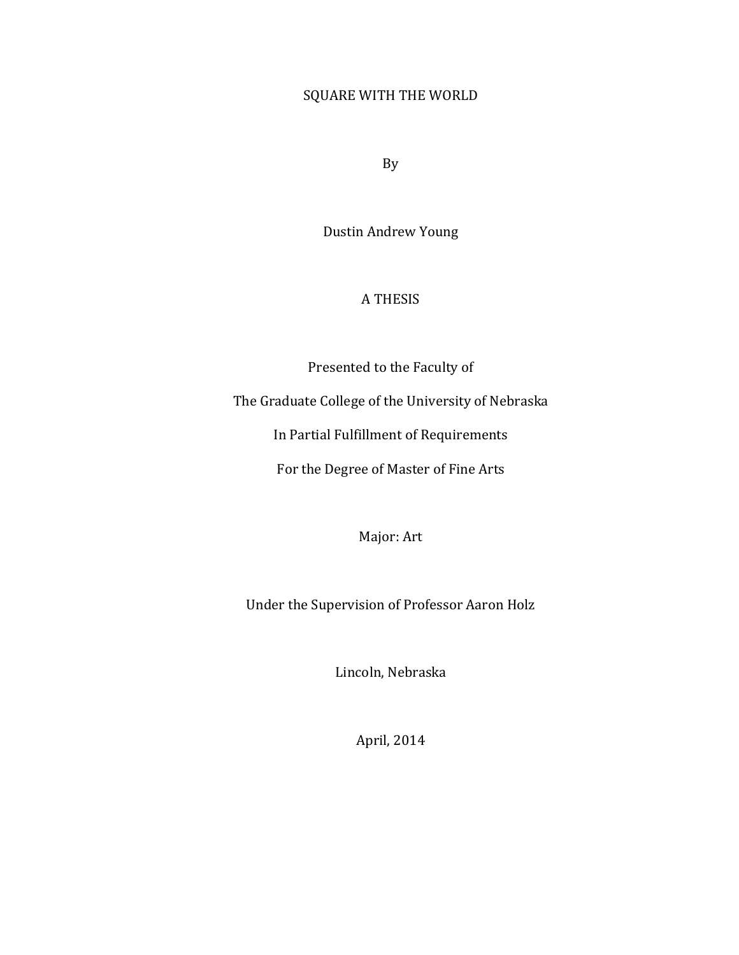## SQUARE WITH THE WORLD

By

Dustin Andrew Young

### A THESIS

Presented to the Faculty of

The Graduate College of the University of Nebraska

In Partial Fulfillment of Requirements

For the Degree of Master of Fine Arts

Major: Art

Under the Supervision of Professor Aaron Holz

Lincoln, Nebraska

April, 2014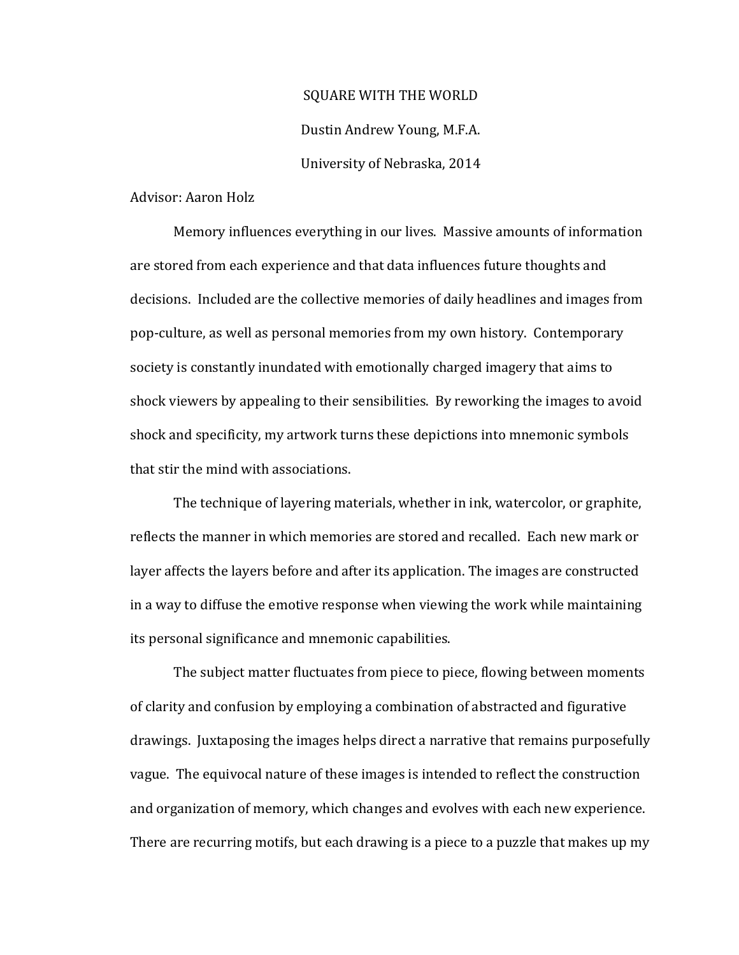### SQUARE WITH THE WORLD

Dustin Andrew Young, M.F.A.

### University of Nebraska, 2014

Advisor: Aaron Holz

Memory influences everything in our lives. Massive amounts of information are stored from each experience and that data influences future thoughts and decisions. Included are the collective memories of daily headlines and images from pop-culture, as well as personal memories from my own history. Contemporary society is constantly inundated with emotionally charged imagery that aims to shock viewers by appealing to their sensibilities. By reworking the images to avoid shock and specificity, my artwork turns these depictions into mnemonic symbols that stir the mind with associations.

The technique of layering materials, whether in ink, watercolor, or graphite, reflects the manner in which memories are stored and recalled. Each new mark or layer affects the layers before and after its application. The images are constructed in a way to diffuse the emotive response when viewing the work while maintaining its personal significance and mnemonic capabilities.

The subject matter fluctuates from piece to piece, flowing between moments of clarity and confusion by employing a combination of abstracted and figurative drawings. Juxtaposing the images helps direct a narrative that remains purposefully vague. The equivocal nature of these images is intended to reflect the construction and organization of memory, which changes and evolves with each new experience. There are recurring motifs, but each drawing is a piece to a puzzle that makes up my